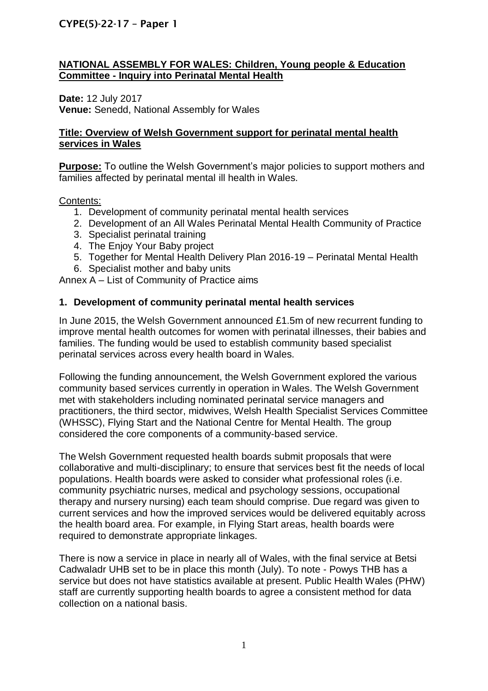# **NATIONAL ASSEMBLY FOR WALES: Children, Young people & Education Committee - Inquiry into Perinatal Mental Health**

**Date:** 12 July 2017 **Venue:** Senedd, National Assembly for Wales

### **Title: Overview of Welsh Government support for perinatal mental health services in Wales**

**Purpose:** To outline the Welsh Government's major policies to support mothers and families affected by perinatal mental ill health in Wales.

## Contents:

- 1. Development of community perinatal mental health services
- 2. Development of an All Wales Perinatal Mental Health Community of Practice
- 3. Specialist perinatal training
- 4. The Enjoy Your Baby project
- 5. Together for Mental Health Delivery Plan 2016-19 Perinatal Mental Health
- 6. Specialist mother and baby units

Annex A – List of Community of Practice aims

## **1. Development of community perinatal mental health services**

In June 2015, the Welsh Government announced £1.5m of new recurrent funding to improve mental health outcomes for women with perinatal illnesses, their babies and families. The funding would be used to establish community based specialist perinatal services across every health board in Wales.

Following the funding announcement, the Welsh Government explored the various community based services currently in operation in Wales. The Welsh Government met with stakeholders including nominated perinatal service managers and practitioners, the third sector, midwives, Welsh Health Specialist Services Committee (WHSSC), Flying Start and the National Centre for Mental Health. The group considered the core components of a community-based service.

The Welsh Government requested health boards submit proposals that were collaborative and multi-disciplinary; to ensure that services best fit the needs of local populations. Health boards were asked to consider what professional roles (i.e. community psychiatric nurses, medical and psychology sessions, occupational therapy and nursery nursing) each team should comprise. Due regard was given to current services and how the improved services would be delivered equitably across the health board area. For example, in Flying Start areas, health boards were required to demonstrate appropriate linkages.

There is now a service in place in nearly all of Wales, with the final service at Betsi Cadwaladr UHB set to be in place this month (July). To note - Powys THB has a service but does not have statistics available at present. Public Health Wales (PHW) staff are currently supporting health boards to agree a consistent method for data collection on a national basis.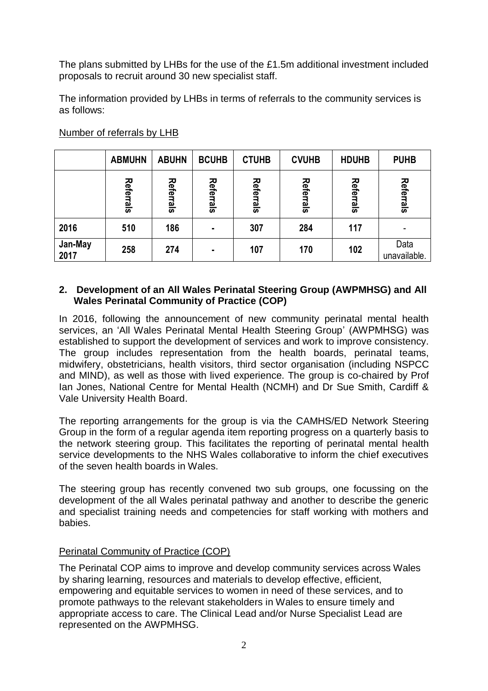The plans submitted by LHBs for the use of the  $£1.5m$  additional investment included proposals to recruit around 30 new specialist staff.

The information provided by LHBs in terms of referrals to the community services is as follows:

|                 | <b>ABMUHN</b> | <b>ABUHN</b> | <b>BCUHB</b> | <b>CTUHB</b> | <b>CVUHB</b> | <b>HDUHB</b> | <b>PUHB</b>          |
|-----------------|---------------|--------------|--------------|--------------|--------------|--------------|----------------------|
|                 | Referrals     | Referrals    | Referrals    | Referrals    | Referrals    | Referrals    | Referrals            |
| 2016            | 510           | 186          | ۰            | 307          | 284          | 117          |                      |
| Jan-May<br>2017 | 258           | 274          | ٠            | 107          | 170          | 102          | Data<br>unavailable. |

# Number of referrals by LHB

### **2. Development of an All Wales Perinatal Steering Group (AWPMHSG) and All Wales Perinatal Community of Practice (COP)**

In 2016, following the announcement of new community perinatal mental health services, an 'All Wales Perinatal Mental Health Steering Group' (AWPMHSG) was established to support the development of services and work to improve consistency. The group includes representation from the health boards, perinatal teams, midwifery, obstetricians, health visitors, third sector organisation (including NSPCC and MIND), as well as those with lived experience. The group is co-chaired by Prof Ian Jones, National Centre for Mental Health (NCMH) and Dr Sue Smith, Cardiff & Vale University Health Board.

The reporting arrangements for the group is via the CAMHS/ED Network Steering Group in the form of a regular agenda item reporting progress on a quarterly basis to the network steering group. This facilitates the reporting of perinatal mental health service developments to the NHS Wales collaborative to inform the chief executives of the seven health boards in Wales.

The steering group has recently convened two sub groups, one focussing on the development of the all Wales perinatal pathway and another to describe the generic and specialist training needs and competencies for staff working with mothers and babies.

# Perinatal Community of Practice (COP)

The Perinatal COP aims to improve and develop community services across Wales by sharing learning, resources and materials to develop effective, efficient, empowering and equitable services to women in need of these services, and to promote pathways to the relevant stakeholders in Wales to ensure timely and appropriate access to care. The Clinical Lead and/or Nurse Specialist Lead are represented on the AWPMHSG.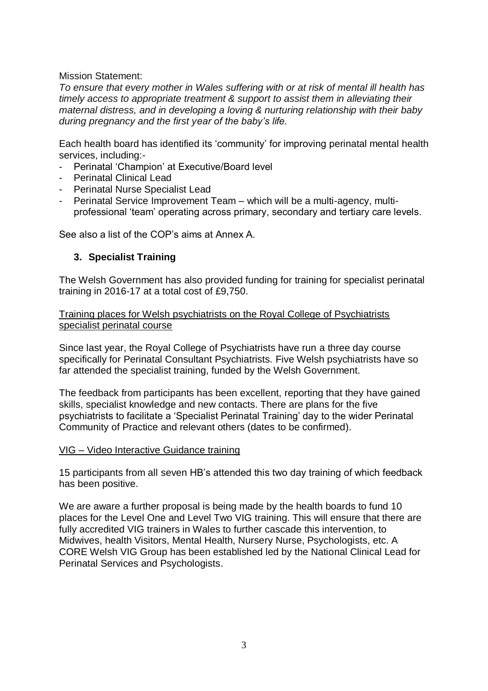Mission Statement:

*To ensure that every mother in Wales suffering with or at risk of mental ill health has timely access to appropriate treatment & support to assist them in alleviating their maternal distress, and in developing a loving & nurturing relationship with their baby during pregnancy and the first year of the baby's life.*

Each health board has identified its 'community' for improving perinatal mental health services, including:-

- Perinatal 'Champion' at Executive/Board level
- Perinatal Clinical Lead
- Perinatal Nurse Specialist Lead
- Perinatal Service Improvement Team which will be a multi-agency, multiprofessional 'team' operating across primary, secondary and tertiary care levels.

See also a list of the COP's aims at Annex A.

#### **3. Specialist Training**

The Welsh Government has also provided funding for training for specialist perinatal training in 2016-17 at a total cost of £9,750.

Training places for Welsh psychiatrists on the Royal College of Psychiatrists specialist perinatal course

Since last year, the Royal College of Psychiatrists have run a three day course specifically for Perinatal Consultant Psychiatrists. Five Welsh psychiatrists have so far attended the specialist training, funded by the Welsh Government.

The feedback from participants has been excellent, reporting that they have gained skills, specialist knowledge and new contacts. There are plans for the five psychiatrists to facilitate a 'Specialist Perinatal Training' day to the wider Perinatal Community of Practice and relevant others (dates to be confirmed).

#### VIG – Video Interactive Guidance training

15 participants from all seven HB's attended this two day training of which feedback has been positive.

We are aware a further proposal is being made by the health boards to fund 10 places for the Level One and Level Two VIG training. This will ensure that there are fully accredited VIG trainers in Wales to further cascade this intervention, to Midwives, health Visitors, Mental Health, Nursery Nurse, Psychologists, etc. A CORE Welsh VIG Group has been established led by the National Clinical Lead for Perinatal Services and Psychologists.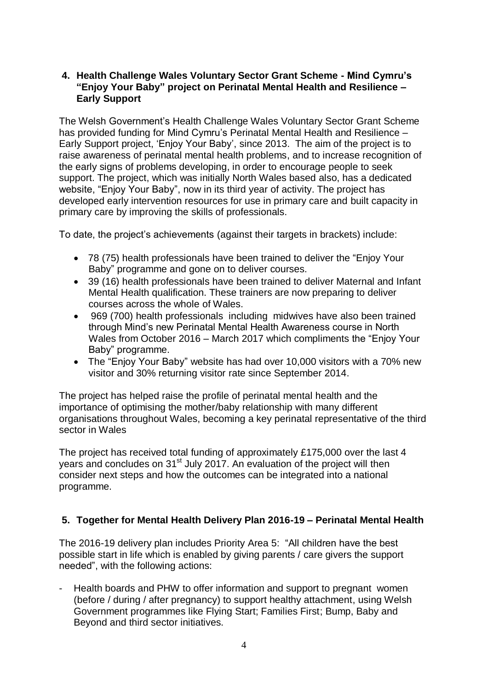## **4. Health Challenge Wales Voluntary Sector Grant Scheme - Mind Cymru's "Enjoy Your Baby" project on Perinatal Mental Health and Resilience – Early Support**

The Welsh Government's Health Challenge Wales Voluntary Sector Grant Scheme has provided funding for Mind Cymru's Perinatal Mental Health and Resilience – Early Support project, 'Enjoy Your Baby', since 2013. The aim of the project is to raise awareness of perinatal mental health problems, and to increase recognition of the early signs of problems developing, in order to encourage people to seek support. The project, which was initially North Wales based also, has a dedicated website, "Enjoy Your Baby", now in its third year of activity. The project has developed early intervention resources for use in primary care and built capacity in primary care by improving the skills of professionals.

To date, the project's achievements (against their targets in brackets) include:

- 78 (75) health professionals have been trained to deliver the "Enjoy Your Baby" programme and gone on to deliver courses.
- 39 (16) health professionals have been trained to deliver Maternal and Infant Mental Health qualification. These trainers are now preparing to deliver courses across the whole of Wales.
- 969 (700) health professionals including midwives have also been trained through Mind's new Perinatal Mental Health Awareness course in North Wales from October 2016 – March 2017 which compliments the "Enjoy Your Baby" programme.
- The "Enjoy Your Baby" website has had over 10,000 visitors with a 70% new visitor and 30% returning visitor rate since September 2014.

The project has helped raise the profile of perinatal mental health and the importance of optimising the mother/baby relationship with many different organisations throughout Wales, becoming a key perinatal representative of the third sector in Wales

The project has received total funding of approximately £175,000 over the last 4 years and concludes on 31<sup>st</sup> July 2017. An evaluation of the project will then consider next steps and how the outcomes can be integrated into a national programme.

### **5. Together for Mental Health Delivery Plan 2016-19 – Perinatal Mental Health**

The 2016-19 delivery plan includes Priority Area 5: "All children have the best possible start in life which is enabled by giving parents / care givers the support needed", with the following actions:

- Health boards and PHW to offer information and support to pregnant women (before / during / after pregnancy) to support healthy attachment, using Welsh Government programmes like Flying Start; Families First; Bump, Baby and Beyond and third sector initiatives.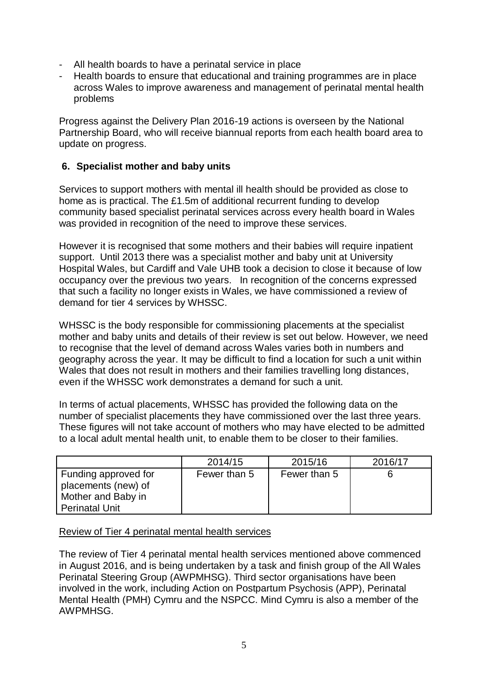- All health boards to have a perinatal service in place
- Health boards to ensure that educational and training programmes are in place across Wales to improve awareness and management of perinatal mental health problems

Progress against the Delivery Plan 2016-19 actions is overseen by the National Partnership Board, who will receive biannual reports from each health board area to update on progress.

# **6. Specialist mother and baby units**

Services to support mothers with mental ill health should be provided as close to home as is practical. The £1.5m of additional recurrent funding to develop community based specialist perinatal services across every health board in Wales was provided in recognition of the need to improve these services.

However it is recognised that some mothers and their babies will require inpatient support. Until 2013 there was a specialist mother and baby unit at University Hospital Wales, but Cardiff and Vale UHB took a decision to close it because of low occupancy over the previous two years. In recognition of the concerns expressed that such a facility no longer exists in Wales, we have commissioned a review of demand for tier 4 services by WHSSC.

WHSSC is the body responsible for commissioning placements at the specialist mother and baby units and details of their review is set out below. However, we need to recognise that the level of demand across Wales varies both in numbers and geography across the year. It may be difficult to find a location for such a unit within Wales that does not result in mothers and their families travelling long distances, even if the WHSSC work demonstrates a demand for such a unit.

In terms of actual placements, WHSSC has provided the following data on the number of specialist placements they have commissioned over the last three years. These figures will not take account of mothers who may have elected to be admitted to a local adult mental health unit, to enable them to be closer to their families.

|                       | 2014/15      | 2015/16      | 2016/17 |
|-----------------------|--------------|--------------|---------|
| Funding approved for  | Fewer than 5 | Fewer than 5 |         |
| placements (new) of   |              |              |         |
| Mother and Baby in    |              |              |         |
| <b>Perinatal Unit</b> |              |              |         |

### Review of Tier 4 perinatal mental health services

The review of Tier 4 perinatal mental health services mentioned above commenced in August 2016, and is being undertaken by a task and finish group of the All Wales Perinatal Steering Group (AWPMHSG). Third sector organisations have been involved in the work, including Action on Postpartum Psychosis (APP), Perinatal Mental Health (PMH) Cymru and the NSPCC. Mind Cymru is also a member of the AWPMHSG.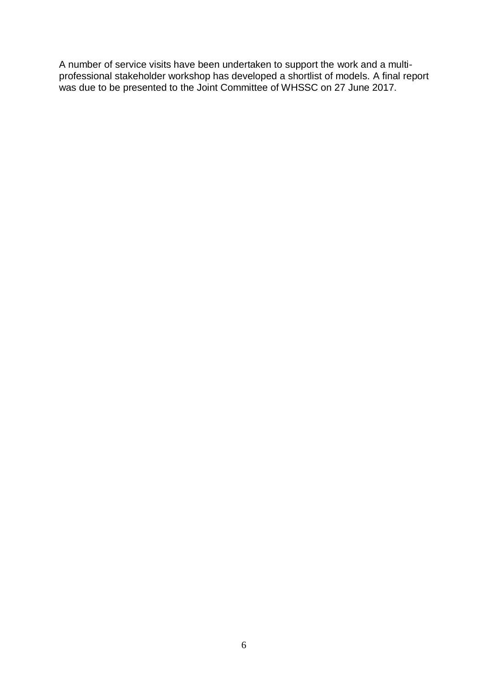A number of service visits have been undertaken to support the work and a multiprofessional stakeholder workshop has developed a shortlist of models. A final report was due to be presented to the Joint Committee of WHSSC on 27 June 2017.